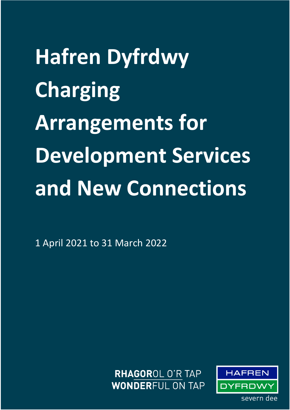**Hafren Dyfrdwy Charging Arrangements for Development Services and New Connections** 

1 April 2021 to 31 March 2022

RHAGOROL O'R TAP **WONDERFUL ON TAP** 

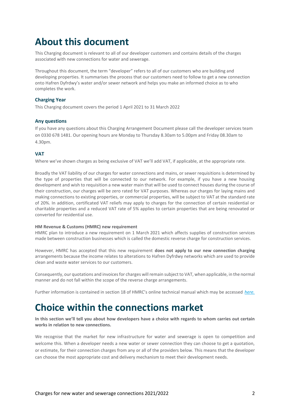## **About this document**

This Charging document is relevant to all of our developer customers and contains details of the charges associated with new connections for water and sewerage.

Throughout this document, the term "developer" refers to all of our customers who are building and developing properties. It summarises the process that our customers need to follow to get a new connection onto Hafren Dyfrdwy's water and/or sewer network and helps you make an informed choice as to who completes the work.

#### **Charging Year**

This Charging document covers the period 1 April 2021 to 31 March 2022

#### **Any questions**

If you have any questions about this Charging Arrangement Document please call the developer services team on 0330 678 1481. Our opening hours are Monday to Thursday 8.30am to 5.00pm and Friday 08.30am to 4.30pm.

#### **VAT**

Where we've shown charges as being exclusive of VAT we'll add VAT, if applicable, at the appropriate rate.

Broadly the VAT liability of our charges for water connections and mains, or sewer requisitions is determined by the type of properties that will be connected to our network. For example, if you have a new housing development and wish to requisition a new water main that will be used to connect houses during the course of their construction, our charges will be zero rated for VAT purposes. Whereas our charges for laying mains and making connections to existing properties, or commercial properties, will be subject to VAT at the standard rate of 20%. In addition, certificated VAT reliefs may apply to charges for the connection of certain residential or charitable properties and a reduced VAT rate of 5% applies to certain properties that are being renovated or converted for residential use.

#### **HM Revenue & Customs (HMRC) new requirement**

HMRC plan to introduce a new requirement on 1 March 2021 which affects supplies of construction services made between construction businesses which is called the domestic reverse charge for construction services.

However, HMRC has accepted that this new requirement **does not apply to our new connection charging** arrangements because the income relates to alterations to Hafren Dyfrdwy networks which are used to provide clean and waste water services to our customers.

Consequently, our quotations and invoices for charges will remain subject to VAT, when applicable, in the normal manner and do not fall within the scope of the reverse charge arrangements.

Further information is contained in section 18 of HMRC's online technical manual which may be accessed *[here.](https://eur02.safelinks.protection.outlook.com/?url=https%3A%2F%2Fwww.gov.uk%2Fguidance%2Fvat-reverse-charge-technical-guide%23end-users-and-intermediary-supplier-businesses&data=04%7C01%7CZahir.Nawaz%40severntrent.co.uk%7C2660a2ac6b11465670f308d8c1eeb5b6%7Ce15c1e997be3495c978eeca7b8ea9f31%7C0%7C0%7C637472578276242164%7CUnknown%7CTWFpbGZsb3d8eyJWIjoiMC4wLjAwMDAiLCJQIjoiV2luMzIiLCJBTiI6Ik1haWwiLCJXVCI6Mn0%3D%7C1000&sdata=ppr%2Fik6llQAxGaAscOCkb1cxOxBHkBz0uJc835dmHx4%3D&reserved=0)*

## **Choice within the connections market**

**In this section we'll tell you about how developers have a choice with regards to whom carries out certain works in relation to new connections.**

We recognise that the market for new infrastructure for water and sewerage is open to competition and welcome this. When a developer needs a new water or sewer connection they can choose to get a quotation, or estimate, for their connection charges from any or all of the providers below. This means that the developer can choose the most appropriate cost and delivery mechanism to meet their development needs.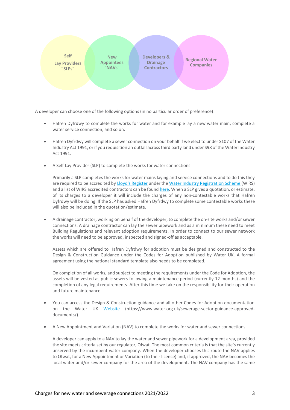

A developer can choose one of the following options (in no particular order of preference):

- Hafren Dyfrdwy to complete the works for water and for example lay a new water main, complete a water service connection, and so on.
- Hafren Dyfrdwy will complete a sewer connection on your behalf if we elect to under S107 of the Water Industry Act 1991, or if you requisition an outfall across third party land under S98 of the Water Industry Act 1991.
- A Self Lay Provider (SLP) to complete the works for water connections

Primarily a SLP completes the works for water mains laying and service connections and to do this they are required to be accredited b[y Lloyd's Register](https://www.lr.org/en/) under th[e Water Industry Registration Scheme](https://www.lr.org/en/utilities/water-industry-registration-scheme-wirs-wirsae/) (WIRS) and a list of WIRS accredited contractors can be found [here.](https://www.lr.org/en/utilities/water-industry-registration-scheme-wirs-wirsae/search/) When a SLP gives a quotation, or estimate, of its charges to a developer it will include the charges of any non-contestable works that Hafren Dyfrdwy will be doing. If the SLP has asked Hafren Dyfrdwy to complete some contestable works these will also be included in the quotation/estimate.

• A drainage contractor**,** working on behalf of the developer, to complete the on-site works and/or sewer connections. A drainage contractor can lay the sewer pipework and as a minimum these need to meet Building Regulations and relevant adoption requirements. In order to connect to our sewer network the works will need to be approved, inspected and signed-off as acceptable.

Assets which are offered to Hafren Dyfrdwy for adoption must be designed and constructed to the Design & Construction Guidance under the Codes for Adoption published by Water UK. A formal agreement using the national standard template also needs to be completed.

On completion of all works, and subject to meeting the requirements under the Code for Adoption, the assets will be vested as public sewers following a maintenance period (currently 12 months) and the completion of any legal requirements. After this time we take on the responsibility for their operation and future maintenance.

- You can access the Design & Construction guidance and all other Codes for Adoption documentation on the Water UK [Website](https://www.water.org.uk/sewerage-sector-guidance-approved-documents/) (https://www.water.org.uk/sewerage-sector-guidance-approveddocuments/).
- A New Appointment and Variation (NAV) to complete the works for water and sewer connections.

A developer can apply to a NAV to lay the water and sewer pipework for a development area, provided the site meets criteria set by our regulator, Ofwat. The most common criteria is that the site's currently unserved by the incumbent water company. When the developer chooses this route the NAV applies to Ofwat, for a New Appointment or Variation (to their licence) and, if approved, the NAV becomes the local water and/or sewer company for the area of the development. The NAV company has the same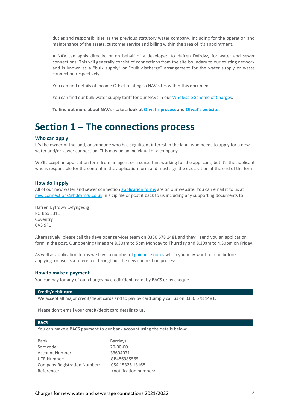duties and responsibilities as the previous statutory water company, including for the operation and maintenance of the assets, customer service and billing within the area of it's appointment.

A NAV can apply directly, or on behalf of a developer, to Hafren Dyfrdwy for water and sewer connections. This will generally consist of connections from the site boundary to our existing network and is known as a "bulk supply" or "bulk discharge" arrangement for the water supply or waste connection respectively.

You can find details of Income Offset relating to NAV sites within this document.

You can find our bulk water supply tariff for our NAVs in our [Wholesale Scheme of Charges.](https://www.hdcymru.co.uk/content/dam/hdcymru/my-account/our-charges/2021/hd-nhh-wholesale-charges-21-22.pdf)

**To find out more about NAVs - take a look a[t Ofwat's process](https://www.ofwat.gov.uk/wp-content/uploads/2015/12/navprocesslm.pdf) an[d Ofwat's website.](https://www.ofwat.gov.uk/regulated-companies/markets/nav-market/)**

## **Section 1 – The connections process**

#### **Who can apply**

It's the owner of the land, or someone who has significant interest in the land, who needs to apply for a new water and/or sewer connection. This may be an individual or a company.

We'll accept an application form from an agent or a consultant working for the applicant, but it's the applicant who is responsible for the content in the application form and must sign the declaration at the end of the form.

#### **How do I apply**

All of our new water and sewer connection [application forms](https://www.hdcymru.co.uk/building-and-developing/regulations-and-forms/application-forms-and-guidance/) are on our website. You can email it to us at [new.connections@hdcymru.co.uk](mailto:new.connections@hdcymru.co.uk) in a zip file or post it back to us including any supporting documents to:

Hafren Dyfrdwy Cyfyngedig PO Box 5311 Coventry CV3 9FL

Alternatively, please call the developer services team on 0330 678 1481 and they'll send you an application form in the post. Our opening times are 8.30am to 5pm Monday to Thursday and 8.30am to 4.30pm on Friday.

As well as application forms we have a number o[f guidance notes](https://www.hdcymru.co.uk/building-and-developing/regulations-and-forms/application-forms-and-guidance/) which you may want to read before applying, or use as a reference throughout the new connection process.

#### **How to make a payment**

You can pay for any of our charges by credit/debit card, by BACS or by cheque.

#### **Credit/debit card**

We accept all major credit/debit cards and to pay by card simply call us on 0330 678 1481.

Please don't email your credit/debit card details to us.

#### **BACS**

You can make a BACS payment to our bank account using the details below:

| Bank:                               | <b>Barclays</b>                         |
|-------------------------------------|-----------------------------------------|
| Sort code:                          | 20-00-00                                |
| <b>Account Number:</b>              | 33604071                                |
| UTR Number:                         | GB486985565                             |
| <b>Company Registration Number:</b> | 054 15325 13168                         |
| Reference:                          | <notification number=""></notification> |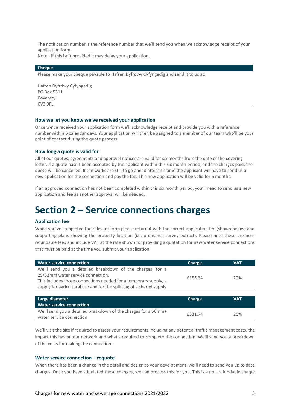The notification number is the reference number that we'll send you when we acknowledge receipt of your application form.

Note - if this isn't provided it may delay your application.

#### **Cheque**

Please make your cheque payable to Hafren Dyfrdwy Cyfyngedig and send it to us at:

Hafren Dyfrdwy Cyfyngedig PO Box 5311 Coventry CV3 9FL

#### **How we let you know we've received your application**

Once we've received your application form we'll acknowledge receipt and provide you with a reference number within 5 calendar days. Your application will then be assigned to a member of our team who'll be your point of contact during the quote process.

#### **How long a quote is valid for**

All of our quotes, agreements and approval notices are valid for six months from the date of the covering letter. If a quote hasn't been accepted by the applicant within this six month period, and the charges paid, the quote will be cancelled. If the works are still to go ahead after this time the applicant will have to send us a new application for the connection and pay the fee. This new application will be valid for 6 months.

If an approved connection has not been completed within this six month period, you'll need to send us a new application and fee as another approval will be needed.

### **Section 2 – Service connections charges**

#### **Application fee**

When you've completed the relevant form please return it with the correct application fee (shown below) and supporting plans showing the property location (i.e. ordinance survey extract). Please note these are nonrefundable fees and include VAT at the rate shown for providing a quotation for new water service connections that must be paid at the time you submit your application.

| <b>Water service connection</b>                                                                                                                                                                                                            | Charge  | <b>VAT</b> |
|--------------------------------------------------------------------------------------------------------------------------------------------------------------------------------------------------------------------------------------------|---------|------------|
| We'll send you a detailed breakdown of the charges, for a<br>25/32mm water service connection.<br>This includes those connections needed for a temporary supply, a<br>supply for agricultural use and for the splitting of a shared supply | £155.34 | 20%        |
|                                                                                                                                                                                                                                            |         |            |
| Large diameter                                                                                                                                                                                                                             | Charge  | <b>VAT</b> |
| <b>Water service connection</b>                                                                                                                                                                                                            |         |            |
| We'll send you a detailed breakdown of the charges for a 50mm+                                                                                                                                                                             |         | $- - - -$  |

we inserid you a detailed breakdown or the charges for a bommer<br>water service connection **E331.74** 20% We'll visit the site if required to assess your requirements including any potential traffic management costs, the impact this has on our network and what's required to complete the connection. We'll send you a breakdown

# of the costs for making the connection.

**Water service connection – requote** 

When there has been a change in the detail and design to your development, we'll need to send you up to date charges. Once you have stipulated these changes, we can process this for you. This is a non-refundable charge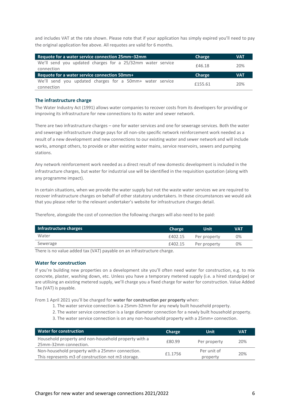and includes VAT at the rate shown. Please note that if your application has simply expired you'll need to pay the original application fee above. All requotes are valid for 6 months.

| Requote for a water service connection 25mm-32mm                         | Charge | <b>VAT</b> |
|--------------------------------------------------------------------------|--------|------------|
| We'll send you updated charges for a 25/32mm water service<br>connection | £46.18 | 20%        |
|                                                                          |        |            |
| Requote for a water service connection 50mm+                             | Charge | <b>VAT</b> |

#### **The infrastructure charge**

The Water Industry Act (1991) allows water companies to recover costs from its developers for providing or improving its infrastructure for new connections to its water and sewer network.

There are two infrastructure charges – one for water services and one for sewerage services. Both the water and sewerage infrastructure charge pays for all non-site specific network reinforcement work needed as a result of a new development and new connections to our existing water and sewer network and will include works, amongst others, to provide or alter existing water mains, service reservoirs, sewers and pumping stations.

Any network reinforcement work needed as a direct result of new domestic development is included in the infrastructure charges, but water for industrial use will be identified in the requisition quotation (along with any programme impact).

In certain situations, when we provide the water supply but not the waste water services we are required to recover infrastructure charges on behalf of other statutory undertakers. In these circumstances we would ask that you please refer to the relevant undertaker's website for infrastructure charges detail.

Therefore, alongside the cost of connection the following charges will also need to be paid:

| Infrastructure charges | <b>Charge</b> | <b>Unit</b>  | VAT |
|------------------------|---------------|--------------|-----|
| Water                  | £402.15       | Per property | 0%  |
| Sewerage               | £402.15       | Per property | 0%  |

There is no value added tax (VAT) payable on an infrastructure charge.

#### **Water for construction**

If you're building new properties on a development site you'll often need water for construction, e.g. to mix concrete, plaster, washing down, etc. Unless you have a temporary metered supply (i.e. a hired standpipe) or are utilising an existing metered supply, we'll charge you a fixed charge for water for construction. Value Added Tax (VAT) is payable.

From 1 April 2021 you'll be charged for **water for construction per property** when:

- 1. The water service connection is a 25mm-32mm for any newly built household property.
- 2. The water service connection is a large diameter connection for a newly built household property.
- 3. The water service connection is on any non-household property with a 25mm+ connection.

| <b>Water for construction</b>                                                                         | <b>Charge</b> | Unit                    | <b>VAT</b> |
|-------------------------------------------------------------------------------------------------------|---------------|-------------------------|------------|
| Household property and non-household property with a<br>25mm-32mm connection.                         | £80.99        | Per property            | 20%        |
| Non-household property with a 25mm+ connection.<br>This represents m3 of construction not m3 storage. | £1.1756       | Per unit of<br>property | 20%        |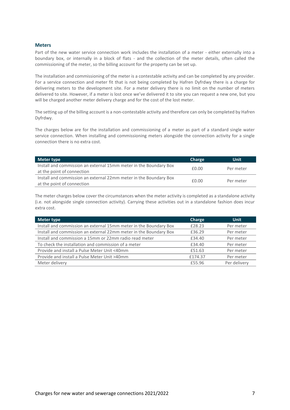#### **Meters**

Part of the new water service connection work includes the installation of a meter - either externally into a boundary box, or internally in a block of flats - and the collection of the meter details, often called the commissioning of the meter, so the billing account for the property can be set up.

The installation and commissioning of the meter is a contestable activity and can be completed by any provider. For a service connection and meter fit that is not being completed by Hafren Dyfrdwy there is a charge for delivering meters to the development site. For a meter delivery there is no limit on the number of meters delivered to site. However, if a meter is lost once we've delivered it to site you can request a new one, but you will be charged another meter delivery charge and for the cost of the lost meter.

The setting up of the billing account is a non-contestable activity and therefore can only be completed by Hafren Dyfrdwy.

The charges below are for the installation and commissioning of a meter as part of a standard single water service connection. When installing and commissioning meters alongside the connection activity for a single connection there is no extra cost.

| Meter type                                                                                      | <b>Charge</b> | <b>Unit</b> |
|-------------------------------------------------------------------------------------------------|---------------|-------------|
| Install and commission an external 15mm meter in the Boundary Box<br>at the point of connection | £0.00         | Per meter   |
| Install and commission an external 22mm meter in the Boundary Box<br>at the point of connection | f0.00         | Per meter   |

The meter charges below cover the circumstances when the meter activity is completed as a standalone activity (i.e. not alongside single connection activity). Carrying these activities out in a standalone fashion does incur extra cost.

| Meter type                                                        | Charge  | <b>Unit</b>  |
|-------------------------------------------------------------------|---------|--------------|
| Install and commission an external 15mm meter in the Boundary Box | £28.23  | Per meter    |
| Install and commission an external 22mm meter in the Boundary Box | £36.29  | Per meter    |
| Install and commission a 15mm or 22mm radio read meter            | £34.40  | Per meter    |
| To check the installation and commission of a meter               | £34.40  | Per meter    |
| Provide and install a Pulse Meter Unit <40mm                      | £51.63  | Per meter    |
| Provide and install a Pulse Meter Unit >40mm                      | £174.37 | Per meter    |
| Meter delivery                                                    | £55.96  | Per delivery |
|                                                                   |         |              |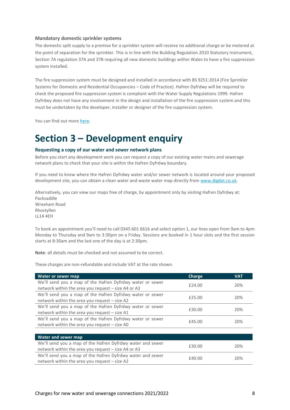#### **Mandatory domestic sprinkler systems**

The domestic split supply to a premise for a sprinkler system will receive no additional charge or be metered at the point of separation for the sprinkler. This is in line with the Building Regulation 2010 Statutory Instrument, Section 7A regulation 37A and 37B requiring all new domestic buildings within Wales to have a fire suppression system installed.

The fire suppression system must be designed and installed in accordance with BS 9251:2014 (Fire Sprinkler Systems for Domestic and Residential Occupancies – Code of Practice). Hafren Dyfrdwy will be required to check the proposed fire suppression system is compliant with the Water Supply Regulations 1999. Hafren Dyfrdwy does not have any involvement in the design and installation of the fire suppression system and this must be undertaken by the developer, installer or designer of the fire suppression system.

You can find out mor[e here.](https://www.hdcymru.co.uk/content/dam/hdcymru/building-and-developing/documents/HD_Domestic_Fire_Sprinkler%20Systems_Wrexham.pdf)

## **Section 3 – Development enquiry**

#### **Requesting a copy of our water and sewer network plans**

Before you start any development work you can request a copy of our existing water mains and sewerage network plans to check that your site is within the Hafren Dyfrdwy boundary.

If you need to know where the Hafren Dyfrdwy water and/or sewer network is located around your proposed development site, you can obtain a clean water and waste water map directly from [www.digdat.co.uk.](http://www.digdat.co.uk/)

Alternatively, you can view our maps free of charge, by appointment only by visiting Hafren Dyfrdwy at: Packsaddle Wrexham Road Rhostyllen LL14 4EH

To book an appointment you'll need to call 0345 601 6616 and select option 1, our lines open from 9am to 4pm Monday to Thursday and 9am to 3:30pm on a Friday. Sessions are booked in 1 hour slots and the first session starts at 8:30am and the last one of the day is at 2:30pm.

**Note**: all details must be checked and not assumed to be correct.

These charges are non-refundable and include VAT at the rate shown.

| Water or sewer map                                         | Charge | VAT |
|------------------------------------------------------------|--------|-----|
| We'll send you a map of the Hafren Dyfrdwy water or sewer  | £24.00 | 20% |
| network within the area you request – size A4 or A3        |        |     |
| We'll send you a map of the Hafren Dyfrdwy water or sewer  | £25.00 | 20% |
| network within the area you request – size A2              |        |     |
| We'll send you a map of the Hafren Dyfrdwy water or sewer  | £30.00 | 20% |
| network within the area you request - size A1              |        |     |
| We'll send you a map of the Hafren Dyfrdwy water or sewer  | £45.00 | 20% |
| network within the area you request - size A0              |        |     |
|                                                            |        |     |
| Water and sewer map                                        |        |     |
| We'll send you a map of the Hafren Dyfrdwy water and sewer | £30.00 |     |
| network within the area you request - size A4 or A3        |        | 20% |
| We'll send you a map of the Hafren Dyfrdwy water and sewer | £40.00 | 20% |
| network within the area you request - size A2              |        |     |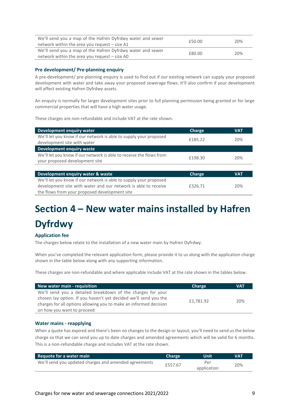| We'll send you a map of the Hafren Dyfrdwy water and sewer | £50.00 | 20% |
|------------------------------------------------------------|--------|-----|
| network within the area you request – size A1              |        |     |
| We'll send you a map of the Hafren Dyfrdwy water and sewer | £80.00 | 20% |
| network within the area you request $-$ size A0            |        |     |

#### **Pre development/ Pre-planning enquiry**

A pre-development/ pre-planning enquiry is used to find out if our existing network can supply your proposed development with water and take away your proposed sewerage flows. It'll also confirm if your development will affect existing Hafren Dyfrdwy assets.

An enquiry is normally for larger development sites prior to full planning permission being granted or for large commercial properties that will have a high water usage.

These charges are non-refundable and include VAT at the rate shown.

| Development enquiry water                                                                                                           | <b>Charge</b> | <b>VAT</b> |
|-------------------------------------------------------------------------------------------------------------------------------------|---------------|------------|
| We'll let you know if our network is able to supply your proposed<br>development site with water                                    | £185.22       | 20%        |
| <b>Development enquiry waste</b>                                                                                                    |               |            |
| We'll let you know if our network is able to receive the flows from<br>your proposed development site                               | £198.30       | 20%        |
|                                                                                                                                     |               |            |
| Development enquiry water & waste                                                                                                   | <b>Charge</b> | <b>VAT</b> |
| We'll let you know if our network is able to supply your proposed<br>development site with water and our network is able to receive | £326.71       | 20%        |
| the flows from your proposed development site                                                                                       |               |            |

# **Section 4 – New water mains installed by Hafren Dyfrdwy**

### **Application fee**

The charges below relate to the installation of a new water main by Hafren Dyfrdwy.

When you've completed the relevant application form, please provide it to us along with the application charge shown in the table below along with any supporting information.

These charges are non-refundable and where applicable include VAT at the rate shown in the tables below.

| New water main - requisition                                      | Charge    | <b>VAT</b> |
|-------------------------------------------------------------------|-----------|------------|
| We'll send you a detailed breakdown of the charges for your       |           |            |
| chosen lay option. If you haven't yet decided we'll send you the  | £1.781.92 | 20%        |
| charges for all options allowing you to make an informed decision |           |            |
| on how you want to proceed                                        |           |            |

#### **Water mains - reapplying**

When a quote has expired and there's been no changes to the design or layout, you'll need to send us the below charge so that we can send you up to date charges and amended agreements which will be valid for 6 months. This is a non-refundable charge and includes VAT at the rate shown.

| Requote for a water main                              | <b>Charge</b> | 'Unit       | VAT |
|-------------------------------------------------------|---------------|-------------|-----|
| We'll send you updated charges and amended agreements | £557.67       | Per         | 20% |
|                                                       |               | application |     |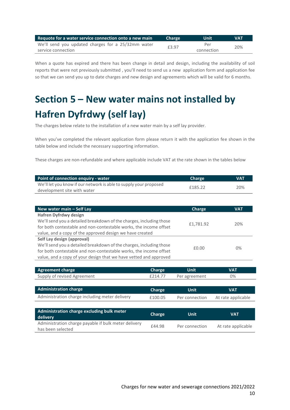| Requote for a water service connection onto a new main | <b>Charge</b> | 'Uniti     | <b>VAT</b> |
|--------------------------------------------------------|---------------|------------|------------|
| We'll send you updated charges for a 25/32mm water     | £3.97         | Per        |            |
| service connection                                     |               | connection | 20%        |

When a quote has expired and there has been change in detail and design, including the availability of soil reports that were not previously submitted , you'll need to send us a new application form and application fee so that we can send you up to date charges and new design and agreements which will be valid for 6 months.

# **Section 5 – New water mains not installed by Hafren Dyfrdwy (self lay)**

The charges below relate to the installation of a new water main by a self lay provider.

When you've completed the relevant application form please return it with the application fee shown in the table below and include the necessary supporting information.

These charges are non-refundable and where applicable include VAT at the rate shown in the tables below

| <b>Point of connection enguiry - water</b>                        | <b>Charge</b> | <b>VAT</b> |
|-------------------------------------------------------------------|---------------|------------|
| We'll let you know if our network is able to supply your proposed | £185.22       | 20%        |
| development site with water                                       |               |            |

| New water main - Self Lay                                           | Charge    | <b>VAT</b> |
|---------------------------------------------------------------------|-----------|------------|
| <b>Hafren Dyfrdwy design</b>                                        |           |            |
| We'll send you a detailed breakdown of the charges, including those | £1,781.92 | 20%        |
| for both contestable and non-contestable works, the income offset   |           |            |
| value, and a copy of the approved design we have created            |           |            |
| Self Lay design (approval)                                          |           |            |
| We'll send you a detailed breakdown of the charges, including those |           |            |
| for both contestable and non-contestable works, the income offset   | £0.00     | $0\%$      |
| value, and a copy of your design that we have vetted and approved   |           |            |

| <b>Agreement charge</b>                                                   | <b>Charge</b> | <b>Unit</b>    | <b>VAT</b>         |
|---------------------------------------------------------------------------|---------------|----------------|--------------------|
| Supply of revised Agreement                                               | £214.77       | Per agreement  | $0\%$              |
|                                                                           |               |                |                    |
| <b>Administration charge</b>                                              | Charge        | <b>Unit</b>    | <b>VAT</b>         |
| Administration charge including meter delivery                            | £100.05       | Per connection | At rate applicable |
|                                                                           |               |                |                    |
| Administration charge excluding bulk meter<br>delivery                    | Charge        | <b>Unit</b>    | <b>VAT</b>         |
| Administration charge payable if bulk meter delivery<br>has been selected | £44.98        | Per connection | At rate applicable |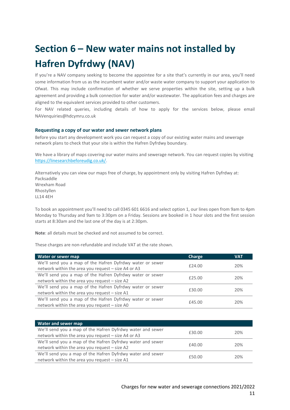# **Section 6 – New water mains not installed by Hafren Dyfrdwy (NAV)**

If you're a NAV company seeking to become the appointee for a site that's currently in our area, you'll need some information from us as the incumbent water and/or waste water company to support your application to Ofwat. This may include confirmation of whether we serve properties within the site, setting up a bulk agreement and providing a bulk connection for water and/or wastewater. The application fees and charges are aligned to the equivalent services provided to other customers.

For NAV related queries, including details of how to apply for the services below, please email NAVenquiries@hdcymru.co.uk

#### **Requesting a copy of our water and sewer network plans**

Before you start any development work you can request a copy of our existing water mains and sewerage network plans to check that your site is within the Hafren Dyfrdwy boundary.

We have a library of maps covering our water mains and sewerage network. You can request copies by visiting [https://linesearchbeforeudig.co.uk/.](https://linesearchbeforeudig.co.uk/)

Alternatively you can view our maps free of charge, by appointment only by visiting Hafren Dyfrdwy at: Packsaddle Wrexham Road Rhostyllen LL14 4EH

To book an appointment you'll need to call 0345 601 6616 and select option 1, our lines open from 9am to 4pm Monday to Thursday and 9am to 3:30pm on a Friday. Sessions are booked in 1 hour slots and the first session starts at 8:30am and the last one of the day is at 2:30pm.

**Note**: all details must be checked and not assumed to be correct.

These charges are non-refundable and include VAT at the rate shown.

| Water or sewer map                                        | Charge | <b>VAT</b> |
|-----------------------------------------------------------|--------|------------|
| We'll send you a map of the Hafren Dyfrdwy water or sewer | £24.00 | 20%        |
| network within the area you request - size A4 or A3       |        |            |
| We'll send you a map of the Hafren Dyfrdwy water or sewer | £25.00 | 20%        |
| network within the area you request - size A2             |        |            |
| We'll send you a map of the Hafren Dyfrdwy water or sewer | £30.00 | 20%        |
| network within the area you request - size A1             |        |            |
| We'll send you a map of the Hafren Dyfrdwy water or sewer | £45.00 | 20%        |
| network within the area you request - size A0             |        |            |

| Water and sewer map                                        |        |     |
|------------------------------------------------------------|--------|-----|
| We'll send you a map of the Hafren Dyfrdwy water and sewer | £30.00 | 20% |
| network within the area you request - size A4 or A3        |        |     |
| We'll send you a map of the Hafren Dyfrdwy water and sewer | £40.00 | 20% |
| network within the area you request - size A2              |        |     |
| We'll send you a map of the Hafren Dyfrdwy water and sewer |        |     |
| network within the area you request - size A1              | £50.00 | 20% |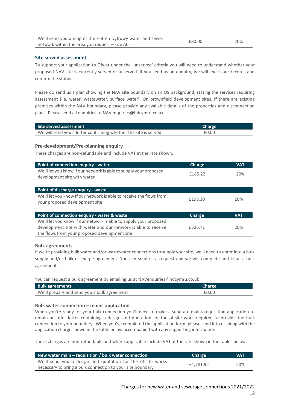| We'll send you a map of the Hafren Dyfrdwy water and sewer | £80.00 | 20% |
|------------------------------------------------------------|--------|-----|
| network within the area you request – size A0              |        |     |

#### **Site served assessment**

To support your application to Ofwat under the 'unserved' criteria you will need to understand whether your proposed NAV site is currently served or unserved. If you send us an enquiry, we will check our records and confirm the status.

Please do send us a plan showing the NAV site boundary on an OS background, stating the services requiring assessment (i.e. water, wastewater, surface water). On brownfield development sites, if there are existing premises within the NAV boundary, please provide any available details of the properties and disconnection plans. Please send all enquiries to NAVenquiries@hdcymru.co.uk

| Site served assessment                                          | Charge |
|-----------------------------------------------------------------|--------|
| We will send you a letter confirming whether the site is served | £0.00  |

#### **Pre-development/Pre-planning enquiry**

These charges are non-refundable and include VAT at the rate shown.

| Point of connection enquiry - water                                                                                                                                                  | Charge  | <b>VAT</b> |
|--------------------------------------------------------------------------------------------------------------------------------------------------------------------------------------|---------|------------|
| We'll let you know if our network is able to supply your proposed<br>development site with water                                                                                     | £185.22 | 20%        |
|                                                                                                                                                                                      |         |            |
| Point of discharge enquiry - waste                                                                                                                                                   |         |            |
| We'll let you know if our network is able to receive the flows from<br>your proposed development site                                                                                | £198.30 | 20%        |
|                                                                                                                                                                                      |         |            |
| Point of connection enquiry - water & waste                                                                                                                                          | Charge  | <b>VAT</b> |
| We'll let you know if our network is able to supply your proposed<br>development site with water and our network is able to receive<br>the flows from your proposed development site | £326.71 | 20%        |

#### **Bulk agreements**

If we're providing bulk water and/or wastewater connections to supply your site, we'll need to enter into a bulk supply and/or bulk discharge agreement. You can send us a request and we will complete and issue a bulk agreement.

You can request a bulk agreement by emailing us at NAVenquiries@hdcymru.co.uk

| <b>Bulk agreements</b>                      | <b>Charge</b> |
|---------------------------------------------|---------------|
| We'll prepare and send you a bulk agreement | £0.00         |

#### **Bulk water connection – mains application**

When you're ready for your bulk connection you'll need to make a separate mains requisition application to obtain an offer letter containing a design and quotation for the offsite work required to provide the bulk connection to your boundary. When you've completed the application form, please send it to us along with the application charge shown in the table below accompanied with any supporting information.

These charges are non-refundable and where applicable include VAT at the rate shown in the tables below.

| New water main $-$ requisition / bulk water connection      | <b>Charge</b> | <b>VAT</b> |
|-------------------------------------------------------------|---------------|------------|
| We'll send you a design and quotation for the offsite works | £1.781.92     | 20%        |
| necessary to bring a bulk connection to your site boundary  |               |            |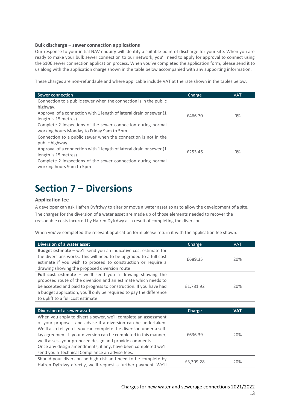#### **Bulk discharge – sewer connection applications**

Our response to your initial NAV enquiry will identify a suitable point of discharge for your site. When you are ready to make your bulk sewer connection to our network, you'll need to apply for approval to connect using the S106 sewer connection application process. When you've completed the application form, please send it to us along with the application charge shown in the table below accompanied with any supporting information.

These charges are non-refundable and where applicable include VAT at the rate shown in the tables below.

| <b>VAT</b> |
|------------|
|            |
|            |
| $0\%$      |
|            |
|            |
|            |
|            |
|            |
|            |
| $0\%$      |
|            |
|            |
|            |

## **Section 7 – Diversions**

#### **Application fee**

A developer can ask Hafren Dyfrdwy to alter or move a water asset so as to allow the development of a site. The charges for the diversion of a water asset are made up of those elements needed to recover the reasonable costs incurred by Hafren Dyfrdwy as a result of completing the diversion.

When you've completed the relevant application form please return it with the application fee shown:

| Diversion of a water asset                                                                                                                                                                                                                                                                                                                                                                                                                                  | Charge    | <b>VAT</b> |
|-------------------------------------------------------------------------------------------------------------------------------------------------------------------------------------------------------------------------------------------------------------------------------------------------------------------------------------------------------------------------------------------------------------------------------------------------------------|-----------|------------|
| Budget estimate - we'll send you an indicative cost estimate for<br>the diversions works. This will need to be upgraded to a full cost<br>estimate if you wish to proceed to construction or require a<br>drawing showing the proposed diversion route                                                                                                                                                                                                      | £689.35   | 20%        |
| Full cost estimate $-$ we'll send you a drawing showing the<br>proposed route of the diversion and an estimate which needs to<br>be accepted and paid to progress to construction. If you have had<br>a budget application, you'll only be required to pay the difference<br>to uplift to a full cost estimate                                                                                                                                              | £1,781.92 | 20%        |
|                                                                                                                                                                                                                                                                                                                                                                                                                                                             |           |            |
|                                                                                                                                                                                                                                                                                                                                                                                                                                                             |           |            |
| Diversion of a sewer asset                                                                                                                                                                                                                                                                                                                                                                                                                                  | Charge    | <b>VAT</b> |
| When you apply to divert a sewer, we'll complete an assessment<br>of your proposals and advise if a diversion can be undertaken.<br>We'll also tell you if you can complete the diversion under a self-<br>lay agreement. If your diversion can be completed in this manner,<br>we'll assess your proposed design and provide comments.<br>Once any design amendments, if any, have been completed we'll<br>send you a Technical Compliance an advise fees. | £636.39   | 20%        |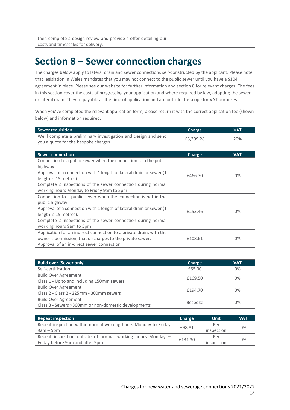then complete a design review and provide a offer detailing our costs and timescales for delivery.

### **Section 8 – Sewer connection charges**

The charges below apply to lateral drain and sewer connections self-constructed by the applicant. Please note that legislation in Wales mandates that you may not connect to the public sewer until you have a S104 agreement in place. Please see our website for further information and section 8 for relevant charges. The fees in this section cover the costs of progressing your application and where required by law, adopting the sewer or lateral drain. They're payable at the time of application and are outside the scope for VAT purposes.

When you've completed the relevant application form, please return it with the correct application fee (shown below) and information required.

| Sewer requisition                                                                                                                                                                                                                                                                          | Charge    | <b>VAT</b> |
|--------------------------------------------------------------------------------------------------------------------------------------------------------------------------------------------------------------------------------------------------------------------------------------------|-----------|------------|
| We'll complete a preliminary investigation and design and send<br>you a quote for the bespoke charges                                                                                                                                                                                      | £3,309.28 | 20%        |
|                                                                                                                                                                                                                                                                                            |           |            |
| <b>Sewer connection</b>                                                                                                                                                                                                                                                                    | Charge    | <b>VAT</b> |
| Connection to a public sewer when the connection is in the public<br>highway.<br>Approval of a connection with 1 length of lateral drain or sewer (1<br>length is 15 metres).<br>Complete 2 inspections of the sewer connection during normal<br>working hours Monday to Friday 9am to 5pm | £466.70   | $0\%$      |
| Connection to a public sewer when the connection is not in the<br>public highway.<br>Approval of a connection with 1 length of lateral drain or sewer (1)<br>length is 15 metres).<br>Complete 2 inspections of the sewer connection during normal<br>working hours 9am to 5pm             | £253.46   | $0\%$      |
| Application for an indirect connection to a private drain, with the<br>owner's permission, that discharges to the private sewer.<br>Approval of an in-direct sewer connection                                                                                                              | £108.61   | 0%         |

| <b>Build over (Sewer only)</b>                        | Charge         | <b>VAT</b> |
|-------------------------------------------------------|----------------|------------|
| Self-certification                                    | £65.00         | 0%         |
| <b>Build Over Agreement</b>                           | £169.50        | $0\%$      |
| Class 1 - Up to and including 150mm sewers            |                |            |
| <b>Build Over Agreement</b>                           |                | $0\%$      |
| Class 2 - Class 2 - 225mm - 300mm sewers              | £194.70        |            |
| <b>Build Over Agreement</b>                           |                | $0\%$      |
| Class 3 - Sewers > 300mm or non-domestic developments | <b>Bespoke</b> |            |

| <b>Repeat inspection</b>                                       | <b>Charge</b> | Unit       | <b>VAT</b> |
|----------------------------------------------------------------|---------------|------------|------------|
| Repeat inspection within normal working hours Monday to Friday | £98.81        | Per        | $0\%$      |
| $9am - 5pm$                                                    |               | inspection |            |
| Repeat inspection outside of normal working hours Monday -     | £131.30       | Per        | 0%         |
| Friday before 9am and after 5pm                                |               | inspection |            |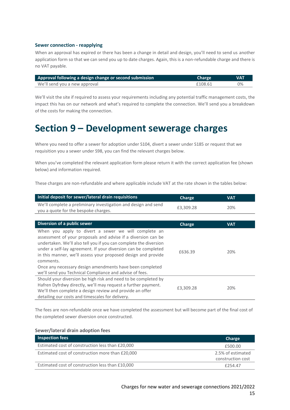#### **Sewer connection - reapplying**

When an approval has expired or there has been a change in detail and design, you'll need to send us another application form so that we can send you up to date charges. Again, this is a non-refundable charge and there is no VAT payable.

| Approval following a design change or second submission | <b>Charge</b> | <b>VAT</b> |
|---------------------------------------------------------|---------------|------------|
| We'll send you a new approval                           | £108.61       | 0%         |

We'll visit the site if required to assess your requirements including any potential traffic management costs, the impact this has on our network and what's required to complete the connection. We'll send you a breakdown of the costs for making the connection.

## **Section 9 – Development sewerage charges**

Where you need to offer a sewer for adoption under S104, divert a sewer under S185 or request that we requisition you a sewer under S98, you can find the relevant charges below.

When you've completed the relevant application form please return it with the correct application fee (shown below) and information required.

These charges are non-refundable and where applicable include VAT at the rate shown in the tables below:

| Initial deposit for sewer/lateral drain requisitions                                                                                                                                                                                                                                                                                                                                                                                                              | Charge    | <b>VAT</b> |
|-------------------------------------------------------------------------------------------------------------------------------------------------------------------------------------------------------------------------------------------------------------------------------------------------------------------------------------------------------------------------------------------------------------------------------------------------------------------|-----------|------------|
| We'll complete a preliminary investigation and design and send<br>you a quote for the bespoke charges.                                                                                                                                                                                                                                                                                                                                                            | £3,309.28 | 20%        |
|                                                                                                                                                                                                                                                                                                                                                                                                                                                                   |           |            |
| Diversion of a public sewer                                                                                                                                                                                                                                                                                                                                                                                                                                       | Charge    | <b>VAT</b> |
| When you apply to divert a sewer we will complete an<br>assessment of your proposals and advise if a diversion can be<br>undertaken. We'll also tell you if you can complete the diversion<br>under a self-lay agreement. If your diversion can be completed<br>in this manner, we'll assess your proposed design and provide<br>comments.<br>Once any necessary design amendments have been completed<br>we'll send you Technical Compliance and advise of fees. | £636.39   | 20%        |
| Should your diversion be high risk and need to be completed by<br>Hafren Dyfrdwy directly, we'll may request a further payment.<br>We'll then complete a design review and provide an offer<br>detailing our costs and timescales for delivery.                                                                                                                                                                                                                   | £3,309.28 | 20%        |

The fees are non-refundable once we have completed the assessment but will become part of the final cost of the completed sewer diversion once constructed.

#### **Sewer/lateral drain adoption fees**

| Inspection fees                                  | Charge            |
|--------------------------------------------------|-------------------|
| Estimated cost of construction less than £20,000 | £500.00           |
| Estimated cost of construction more than £20,000 | 2.5% of estimated |
|                                                  | construction cost |
| Estimated cost of construction less than £10,000 | £254.47           |